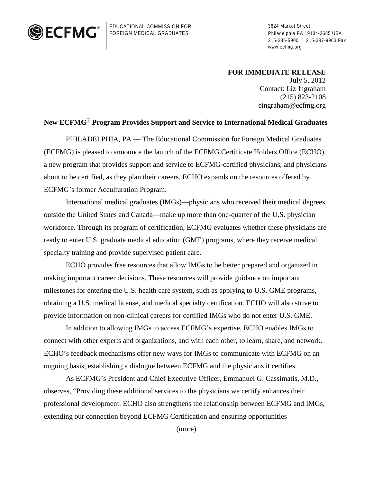

EDUCATIONAL COMMISSION FOR FOREIGN MEDICAL GRADUATES

3624 Market Street Philadelphia PA 19104-2685 USA 215-386-5900 | 215-387-9963 Fax www.ecfmg.org

## **FOR IMMEDIATE RELEASE**

July 5, 2012 Contact: Liz Ingraham (215) 823-2108 [eingraham@ecfmg.org](mailto:eingraham@ecfmg.org)

## **New ECFMG® Program Provides Support and Service to International Medical Graduates**

 PHILADELPHIA, PA — The Educational Commission for Foreign Medical Graduates (ECFMG) is pleased to announce the launch of the ECFMG Certificate Holders Office (ECHO), a new program that provides support and service to ECFMG-certified physicians, and physicians about to be certified, as they plan their careers. ECHO expands on the resources offered by ECFMG's former Acculturation Program.

 International medical graduates (IMGs)—physicians who received their medical degrees outside the United States and Canada—make up more than one-quarter of the U.S. physician workforce. Through its program of certification, ECFMG evaluates whether these physicians are ready to enter U.S. graduate medical education (GME) programs, where they receive medical specialty training and provide supervised patient care.

ECHO provides free resources that allow IMGs to be better prepared and organized in making important career decisions. These resources will provide guidance on important milestones for entering the U.S. health care system, such as applying to U.S. GME programs, obtaining a U.S. medical license, and medical specialty certification. ECHO will also strive to provide information on non-clinical careers for certified IMGs who do not enter U.S. GME.

In addition to allowing IMGs to access ECFMG's expertise, ECHO enables IMGs to connect with other experts and organizations, and with each other, to learn, share, and network. ECHO's feedback mechanisms offer new ways for IMGs to communicate with ECFMG on an ongoing basis, establishing a dialogue between ECFMG and the physicians it certifies.

 As ECFMG's President and Chief Executive Officer, Emmanuel G. Cassimatis, M.D., observes, "Providing these additional services to the physicians we certify enhances their professional development. ECHO also strengthens the relationship between ECFMG and IMGs, extending our connection beyond ECFMG Certification and ensuring opportunities

(more)